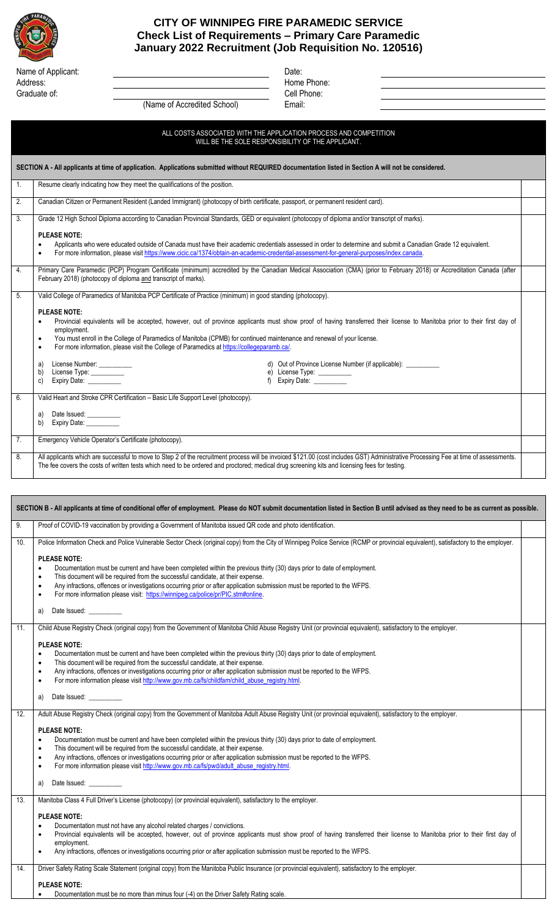

## **CITY OF WINNIPEG FIRE PARAMEDIC SERVICE Check List of Requirements – Primary Care Paramedic January 2022 Recruitment (Job Requisition No. 120516)**

Name of Applicant: Date: Date: Date: Date: Date: Date: Date: Date: Date: Date: Date: Date: Date: Date: Date: Date: Date: Date: Date: Date: Date: Date: Date: Date: Date: Date: Date: Date: Date: Date: Date: Date: Date: Date: Address: Home Phone: Graduate of: Cell Phone:

| (Name of Accredited School) | Email: |
|-----------------------------|--------|
|-----------------------------|--------|

ALL COSTS ASSOCIATED WITH THE APPLICATION PROCESS AND COMPETITION

WILL BE THE SOLE RESPONSIBILITY OF THE APPLICANT. **SECTION A - All applicants at time of application. Applications submitted without REQUIRED documentation listed in Section A will not be considered.** 1. Resume clearly indicating how they meet the qualifications of the position. 2. Canadian Citizen or Permanent Resident (Landed Immigrant) (photocopy of birth certificate, passport, or permanent resident card). 3. Grade 12 High School Diploma according to Canadian Provincial Standards, GED or equivalent (photocopy of diploma and/or transcript of marks). **PLEASE NOTE:** • Applicants who were educated outside of Canada must have their academic credentials assessed in order to determine and submit a Canadian Grade 12 equivalent. • For more information, please visi[t https://www.cicic.ca/1374/obtain-an-academic-credential-assessment-for-general-purposes/index.canada.](https://www.cicic.ca/1374/obtain-an-academic-credential-assessment-for-general-purposes/index.canada)  4. Primary Care Paramedic (PCP) Program Certificate (minimum) accredited by the Canadian Medical Association (CMA) (prior to February 2018) or Accreditation Canada (after February 2018) (photocopy of diploma and transcript of marks). 5. Valid College of Paramedics of Manitoba PCP Certificate of Practice (minimum) in good standing (photocopy). **PLEASE NOTE:** • Provincial equivalents will be accepted, however, out of province applicants must show proof of having transferred their license to Manitoba prior to their first day of employment. • You must enroll in the College of Paramedics of Manitoba (CPMB) for continued maintenance and renewal of your license. • For more information, please visit the College of Paramedics at https://collegeparamb.ca a) License Number: \_\_\_\_\_\_\_\_\_\_\_<br>
a) Out of Province License Number (if applicable): <br>
e) License Type: \_\_\_\_\_\_\_\_\_ e) License Type: c) Expiry Date: \_\_\_\_\_\_\_\_\_\_ f) Expiry Date: \_\_\_\_\_\_\_\_\_\_ 6. Valid Heart and Stroke CPR Certification – Basic Life Support Level (photocopy). Date Issued: b) Expiry Date: 7. Emergency Vehicle Operator's Certificate (photocopy). 8. All applicants which are successful to move to Step 2 of the recruitment process will be invoiced \$121.00 (cost includes GST) Administrative Processing Fee at time of assessments. The fee covers the costs of written tests which need to be ordered and proctored; medical drug screening kits and licensing fees for testing.

| SECTION B - All applicants at time of conditional offer of employment. Please do NOT submit documentation listed in Section B until advised as they need to be as current as possible. |                                                                                                                                                                                                                                                                                                                                                                                                                                                                                                                                                                                                                                                                                                       |  |
|----------------------------------------------------------------------------------------------------------------------------------------------------------------------------------------|-------------------------------------------------------------------------------------------------------------------------------------------------------------------------------------------------------------------------------------------------------------------------------------------------------------------------------------------------------------------------------------------------------------------------------------------------------------------------------------------------------------------------------------------------------------------------------------------------------------------------------------------------------------------------------------------------------|--|
| 9.                                                                                                                                                                                     | Proof of COVID-19 vaccination by providing a Government of Manitoba issued QR code and photo identification.                                                                                                                                                                                                                                                                                                                                                                                                                                                                                                                                                                                          |  |
| 10.                                                                                                                                                                                    | Police Information Check and Police Vulnerable Sector Check (original copy) from the City of Winnipeg Police Service (RCMP or provincial equivalent), satisfactory to the employer.                                                                                                                                                                                                                                                                                                                                                                                                                                                                                                                   |  |
|                                                                                                                                                                                        | <b>PLEASE NOTE:</b><br>Documentation must be current and have been completed within the previous thirty (30) days prior to date of employment.<br>$\bullet$<br>This document will be required from the successful candidate, at their expense.<br>$\bullet$<br>Any infractions, offences or investigations occurring prior or after application submission must be reported to the WFPS.<br>For more information please visit: https://winnipeg.ca/police/pr/PIC.stm#online.<br>$\bullet$<br>Date Issued: <b>contains the Search Container</b><br>a)                                                                                                                                                  |  |
| 11.                                                                                                                                                                                    | Child Abuse Registry Check (original copy) from the Government of Manitoba Child Abuse Registry Unit (or provincial equivalent), satisfactory to the employer.                                                                                                                                                                                                                                                                                                                                                                                                                                                                                                                                        |  |
|                                                                                                                                                                                        | <b>PLEASE NOTE:</b><br>Documentation must be current and have been completed within the previous thirty (30) days prior to date of employment.<br>$\bullet$<br>This document will be required from the successful candidate, at their expense.<br>$\bullet$<br>Any infractions, offences or investigations occurring prior or after application submission must be reported to the WFPS.<br>For more information please visit http://www.gov.mb.ca/fs/childfam/child_abuse_registry.html.<br>$\bullet$<br>Date Issued: ___________<br>a)                                                                                                                                                              |  |
| 12.                                                                                                                                                                                    | Adult Abuse Registry Check (original copy) from the Government of Manitoba Adult Abuse Registry Unit (or provincial equivalent), satisfactory to the employer.<br><b>PLEASE NOTE:</b><br>Documentation must be current and have been completed within the previous thirty (30) days prior to date of employment.<br>$\bullet$<br>This document will be required from the successful candidate, at their expense.<br>$\bullet$<br>Any infractions, offences or investigations occurring prior or after application submission must be reported to the WFPS.<br>For more information please visit http://www.gov.mb.ca/fs/pwd/adult_abuse_registry.html.<br>$\bullet$<br>Date Issued: ___________<br>a) |  |
| 13.                                                                                                                                                                                    | Manitoba Class 4 Full Driver's License (photocopy) (or provincial equivalent), satisfactory to the employer.<br><b>PLEASE NOTE:</b><br>Documentation must not have any alcohol related charges / convictions.<br>$\bullet$<br>Provincial equivalents will be accepted, however, out of province applicants must show proof of having transferred their license to Manitoba prior to their first day of<br>employment.<br>Any infractions, offences or investigations occurring prior or after application submission must be reported to the WFPS.<br>$\bullet$                                                                                                                                       |  |
| 14.                                                                                                                                                                                    | Driver Safety Rating Scale Statement (original copy) from the Manitoba Public Insurance (or provincial equivalent), satisfactory to the employer.<br><b>PLEASE NOTE:</b><br>Documentation must be no more than minus four (-4) on the Driver Safety Rating scale.<br>$\bullet$                                                                                                                                                                                                                                                                                                                                                                                                                        |  |